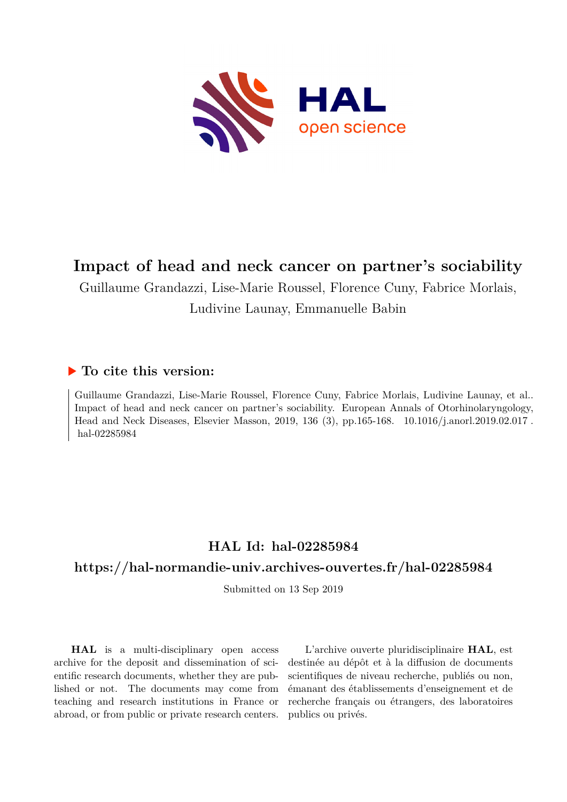

### **Impact of head and neck cancer on partner's sociability**

Guillaume Grandazzi, Lise-Marie Roussel, Florence Cuny, Fabrice Morlais,

#### Ludivine Launay, Emmanuelle Babin

#### **To cite this version:**

Guillaume Grandazzi, Lise-Marie Roussel, Florence Cuny, Fabrice Morlais, Ludivine Launay, et al.. Impact of head and neck cancer on partner's sociability. European Annals of Otorhinolaryngology, Head and Neck Diseases, Elsevier Masson, 2019, 136 (3), pp.165-168. 10.1016/j.anorl.2019.02.017. hal-02285984

### **HAL Id: hal-02285984**

### **<https://hal-normandie-univ.archives-ouvertes.fr/hal-02285984>**

Submitted on 13 Sep 2019

**HAL** is a multi-disciplinary open access archive for the deposit and dissemination of scientific research documents, whether they are published or not. The documents may come from teaching and research institutions in France or abroad, or from public or private research centers.

L'archive ouverte pluridisciplinaire **HAL**, est destinée au dépôt et à la diffusion de documents scientifiques de niveau recherche, publiés ou non, émanant des établissements d'enseignement et de recherche français ou étrangers, des laboratoires publics ou privés.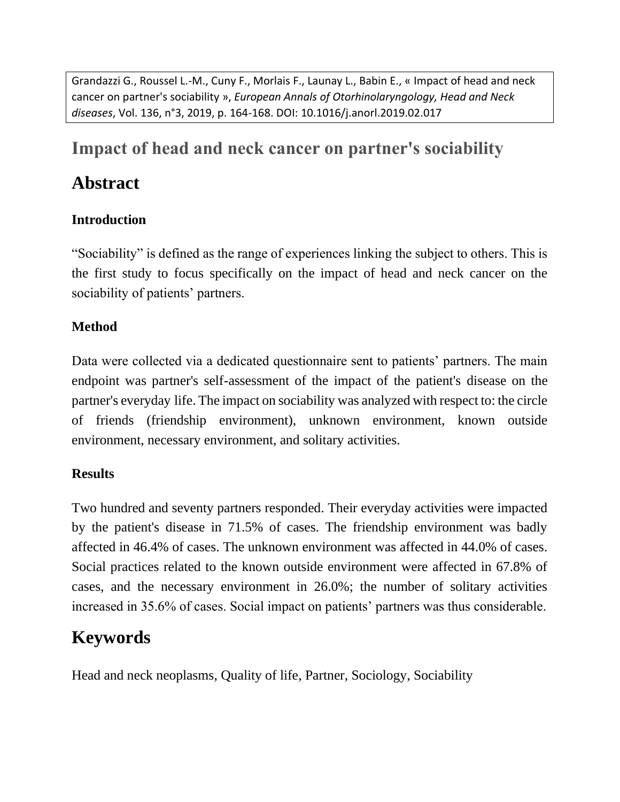Grandazzi G., Roussel L.-M., Cuny F., Morlais F., Launay L., Babin E., « Impact of head and neck cancer on partner's sociability », *European Annals of Otorhinolaryngology, Head and Neck diseases*, Vol. 136, n°3, 2019, p. 164-168. DOI: 10.1016/j.anorl.2019.02.017

## **Impact of head and neck cancer on partner's sociability**

## **Abstract**

### **Introduction**

"Sociability" is defined as the range of experiences linking the subject to others. This is the first study to focus specifically on the impact of head and neck cancer on the sociability of patients' partners.

#### **Method**

Data were collected via a dedicated questionnaire sent to patients' partners. The main endpoint was partner's self-assessment of the impact of the patient's disease on the partner's everyday life. The impact on sociability was analyzed with respect to: the circle of friends (friendship environment), unknown environment, known outside environment, necessary environment, and solitary activities.

#### **Results**

Two hundred and seventy partners responded. Their everyday activities were impacted by the patient's disease in 71.5% of cases. The friendship environment was badly affected in 46.4% of cases. The unknown environment was affected in 44.0% of cases. Social practices related to the known outside environment were affected in 67.8% of cases, and the necessary environment in 26.0%; the number of solitary activities increased in 35.6% of cases. Social impact on patients' partners was thus considerable.

## **Keywords**

Head and neck neoplasms, Quality of life, Partner, Sociology, Sociability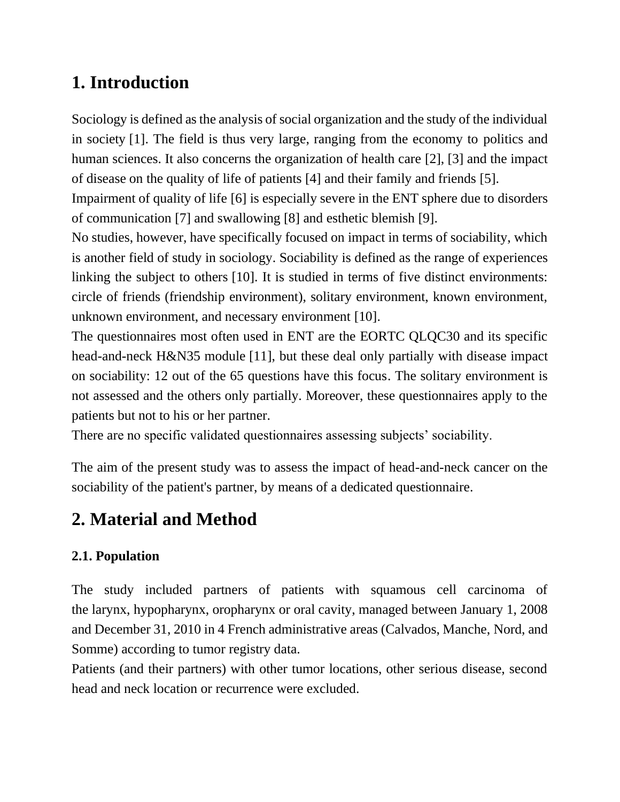# **1. Introduction**

Sociology is defined as the analysis of social organization and the study of the individual in society [1]. The field is thus very large, ranging from the economy to politics and human sciences. It also concerns the organization of health care [2], [3] and the impact of disease on the quality of life of patients [4] and their family and friends [5].

Impairment of quality of life [6] is especially severe in the ENT sphere due to disorders of communication [7] and swallowing [8] and esthetic blemish [9].

No studies, however, have specifically focused on impact in terms of sociability, which is another field of study in sociology. Sociability is defined as the range of experiences linking the subject to others [10]. It is studied in terms of five distinct environments: circle of friends (friendship environment), solitary environment, known environment, unknown environment, and necessary environment [\[10\].](https://www-sciencedirect-com.gate2.inist.fr/science/article/pii/S1879729619300420?via%3Dihub#bib0175)

The questionnaires most often used in ENT are the EORTC QLQC30 and its specific head-and-neck H&N35 module [11], but these deal only partially with disease impact on sociability: 12 out of the 65 questions have this focus. The solitary environment is not assessed and the others only partially. Moreover, these questionnaires apply to the patients but not to his or her partner.

There are no specific validated questionnaires assessing subjects' sociability.

The aim of the present study was to assess the impact of head-and-neck cancer on the sociability of the patient's partner, by means of a dedicated questionnaire.

# **2. Material and Method**

### **2.1. Population**

The study included partners of patients with squamous cell carcinoma of the larynx, hypopharynx, oropharynx or oral cavity, managed between January 1, 2008 and December 31, 2010 in 4 French administrative areas (Calvados, Manche, Nord, and Somme) according to tumor registry data.

Patients (and their partners) with other tumor locations, other serious disease, second head and neck location or recurrence were excluded.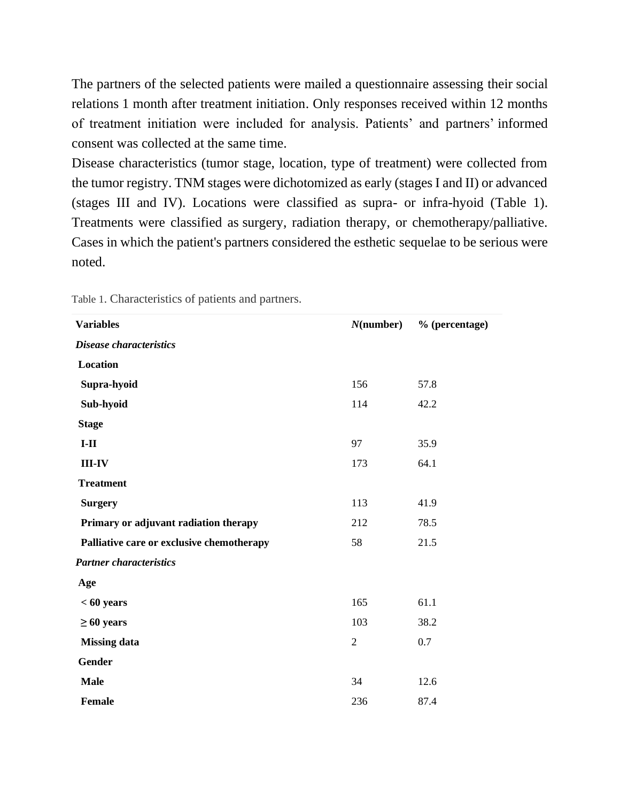The partners of the selected patients were mailed a questionnaire assessing their social relations 1 month after treatment initiation. Only responses received within 12 months of treatment initiation were included for analysis. Patients' and partners' [informed](https://www-sciencedirect-com.gate2.inist.fr/topics/medicine-and-dentistry/informed-consent)  [consent](https://www-sciencedirect-com.gate2.inist.fr/topics/medicine-and-dentistry/informed-consent) was collected at the same time.

Disease characteristics (tumor stage, location, type of treatment) were collected from the tumor registry. TNM stages were dichotomized as early (stages I and II) or advanced (stages III and IV). Locations were classified as supra- or infra-hyoid (Table 1). Treatments were classified as surgery, radiation therapy, or chemotherapy/palliative. Cases in which the patient's partners considered the esthetic sequelae to be serious were noted.

| <b>Variables</b>                          | $N$ (number)   | % (percentage) |
|-------------------------------------------|----------------|----------------|
| Disease characteristics                   |                |                |
| Location                                  |                |                |
| Supra-hyoid                               | 156            | 57.8           |
| Sub-hyoid                                 | 114            | 42.2           |
| <b>Stage</b>                              |                |                |
| $I-II$                                    | 97             | 35.9           |
| $III - IV$                                | 173            | 64.1           |
| <b>Treatment</b>                          |                |                |
| <b>Surgery</b>                            | 113            | 41.9           |
| Primary or adjuvant radiation therapy     | 212            | 78.5           |
| Palliative care or exclusive chemotherapy | 58             | 21.5           |
| <b>Partner characteristics</b>            |                |                |
| Age                                       |                |                |
| $< 60$ years                              | 165            | 61.1           |
| $\geq 60$ years                           | 103            | 38.2           |
| <b>Missing data</b>                       | $\overline{2}$ | 0.7            |
| <b>Gender</b>                             |                |                |
| <b>Male</b>                               | 34             | 12.6           |
| Female                                    | 236            | 87.4           |

Table 1. Characteristics of patients and partners.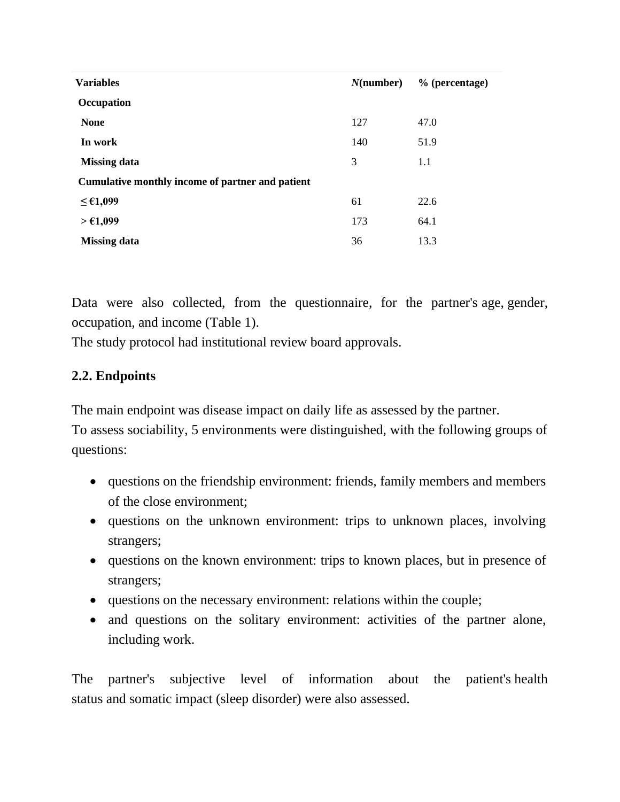| <b>Variables</b>                                 | $N$ (number) | % (percentage) |
|--------------------------------------------------|--------------|----------------|
| Occupation                                       |              |                |
| <b>None</b>                                      | 127          | 47.0           |
| In work                                          | 140          | 51.9           |
| <b>Missing data</b>                              | 3            | 1.1            |
| Cumulative monthly income of partner and patient |              |                |
| $≤$ €1,099                                       | 61           | 22.6           |
| > €1,099                                         | 173          | 64.1           |
| <b>Missing data</b>                              | 36           | 13.3           |

Data were also collected, from the questionnaire, for the partner's age, gender, occupation, and income (Table 1).

The study protocol had institutional review board approvals.

#### **2.2. Endpoints**

The main endpoint was disease impact on daily life as assessed by the partner.

To assess sociability, 5 environments were distinguished, with the following groups of questions:

- questions on the friendship environment: friends, family members and members of the close environment;
- questions on the unknown environment: trips to unknown places, involving strangers;
- questions on the known environment: trips to known places, but in presence of strangers;
- questions on the necessary environment: relations within the couple;
- and questions on the solitary environment: activities of the partner alone, including work.

The partner's subjective level of information about the patient's health status and somatic impact (sleep disorder) were also assessed.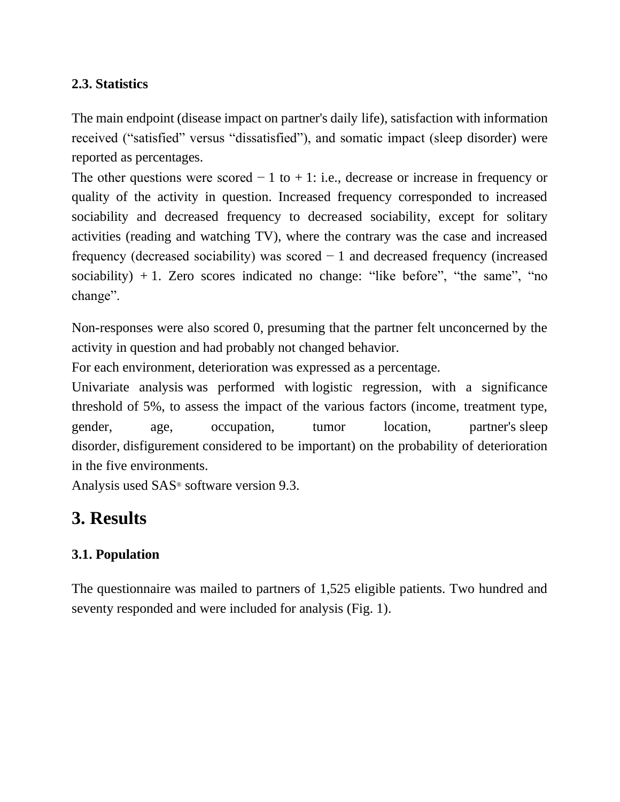#### **2.3. Statistics**

The main endpoint (disease impact on partner's daily life), satisfaction with information received ("satisfied" versus "dissatisfied"), and somatic impact (sleep disorder) were reported as percentages.

The other questions were scored  $-1$  to  $+1$ : i.e., decrease or increase in frequency or quality of the activity in question. Increased frequency corresponded to increased sociability and decreased frequency to decreased sociability, except for solitary activities (reading and watching TV), where the contrary was the case and increased frequency (decreased sociability) was scored − 1 and decreased frequency (increased sociability)  $+1$ . Zero scores indicated no change: "like before", "the same", "no change".

Non-responses were also scored 0, presuming that the partner felt unconcerned by the activity in question and had probably not changed behavior.

For each environment, deterioration was expressed as a percentage.

Univariate analysis was performed with logistic regression, with a significance threshold of 5%, to assess the impact of the various factors (income, treatment type, gender, age, occupation, tumor location, partner's sleep disorder, disfigurement considered to be important) on the probability of deterioration in the five environments.

Analysis used SAS® software version 9.3.

### **3. Results**

#### **3.1. Population**

The questionnaire was mailed to partners of 1,525 eligible patients. Two hundred and seventy responded and were included for analysis (Fig. 1).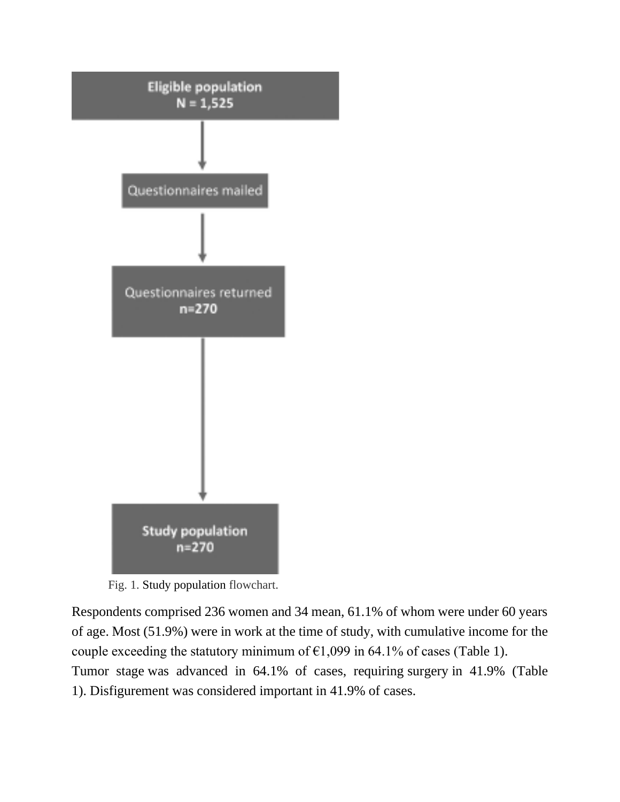

Fig. 1. Study population flowchart.

Respondents comprised 236 women and 34 mean, 61.1% of whom were under 60 years of age. Most (51.9%) were in work at the time of study, with cumulative income for the couple exceeding the statutory minimum of  $\epsilon$ 1,099 in 64.1% of cases (Table 1). Tumor stage was advanced in 64.1% of cases, requiring surgery in 41.9% (Table 1). Disfigurement was considered important in 41.9% of cases.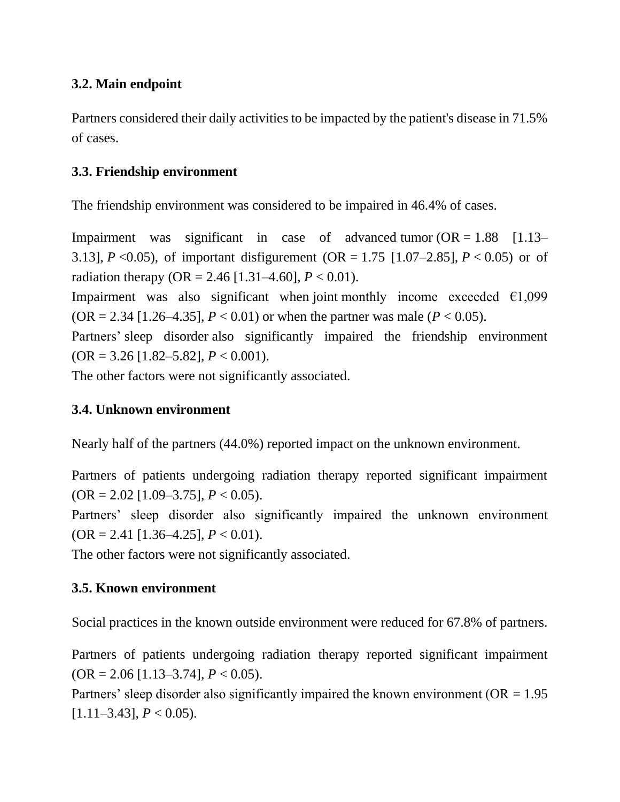#### **3.2. Main endpoint**

Partners considered their daily activities to be impacted by the patient's disease in 71.5% of cases.

#### **3.3. Friendship environment**

The friendship environment was considered to be impaired in 46.4% of cases.

Impairment was significant in case of advanced tumor  $OR = 1.88$  [1.13– 3.13], *P* <0.05), of important disfigurement (OR = 1.75 [1.07–2.85], *P* < 0.05) or of radiation therapy (OR = 2.46 [1.31–4.60],  $P < 0.01$ ).

Impairment was also significant when joint monthly income exceeded  $\epsilon$ 1,099  $(OR = 2.34 [1.26-4.35], P < 0.01)$  or when the partner was male ( $P < 0.05$ ).

Partners' sleep disorder also significantly impaired the friendship environment  $(OR = 3.26$  [1.82–5.82],  $P < 0.001$ ).

The other factors were not significantly associated.

#### **3.4. Unknown environment**

Nearly half of the partners (44.0%) reported impact on the unknown environment.

Partners of patients undergoing radiation therapy reported significant impairment (OR = 2.02 [1.09–3.75], *P* < 0.05).

Partners' sleep disorder also significantly impaired the unknown environment  $(OR = 2.41$  [1.36–4.25],  $P < 0.01$ ).

The other factors were not significantly associated.

#### **3.5. Known environment**

Social practices in the known outside environment were reduced for 67.8% of partners.

Partners of patients undergoing radiation therapy reported significant impairment  $(OR = 2.06$  [1.13–3.74],  $P < 0.05$ ).

Partners' sleep disorder also significantly impaired the known environment ( $OR = 1.95$ )  $[1.11–3.43]$ ,  $P < 0.05$ ).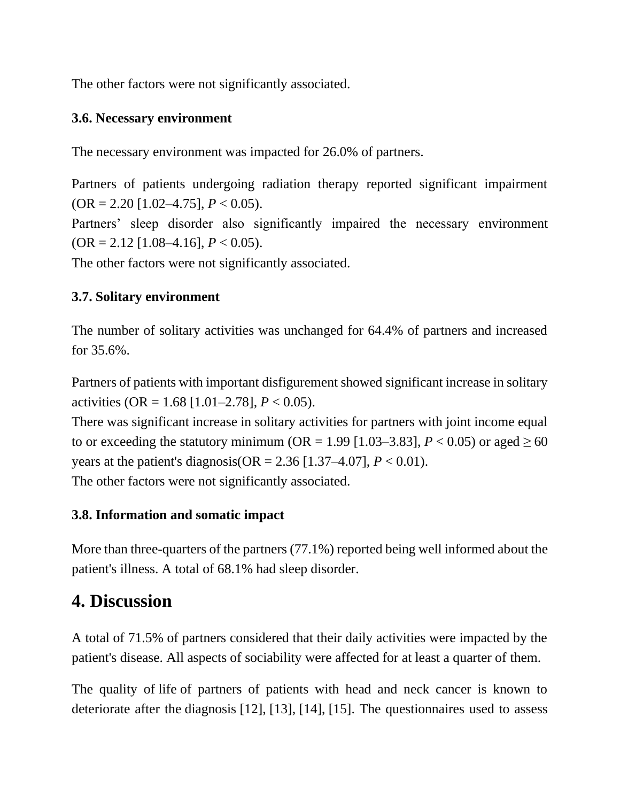The other factors were not significantly associated.

#### **3.6. Necessary environment**

The necessary environment was impacted for 26.0% of partners.

Partners of patients undergoing radiation therapy reported significant impairment (OR = 2.20 [1.02–4.75], *P* < 0.05).

Partners' sleep disorder also significantly impaired the necessary environment  $(OR = 2.12$  [1.08–4.16],  $P < 0.05$ ).

The other factors were not significantly associated.

#### **3.7. Solitary environment**

The number of solitary activities was unchanged for 64.4% of partners and increased for 35.6%.

Partners of patients with important disfigurement showed significant increase in solitary activities (OR =  $1.68$  [1.01–2.78],  $P < 0.05$ ).

There was significant increase in solitary activities for partners with joint income equal to or exceeding the statutory minimum (OR = 1.99 [1.03–3.83],  $P < 0.05$ ) or aged  $\geq 60$ years at the patient's diagnosis( $OR = 2.36$  [1.37–4.07],  $P < 0.01$ ).

The other factors were not significantly associated.

#### **3.8. Information and somatic impact**

More than three-quarters of the partners (77.1%) reported being well informed about the patient's illness. A total of 68.1% had sleep disorder.

# **4. Discussion**

A total of 71.5% of partners considered that their daily activities were impacted by the patient's disease. All aspects of sociability were affected for at least a quarter of them.

The quality of life of partners of patients with head and neck cancer is known to deteriorate after the diagnosis [12], [13], [14], [15]. The questionnaires used to assess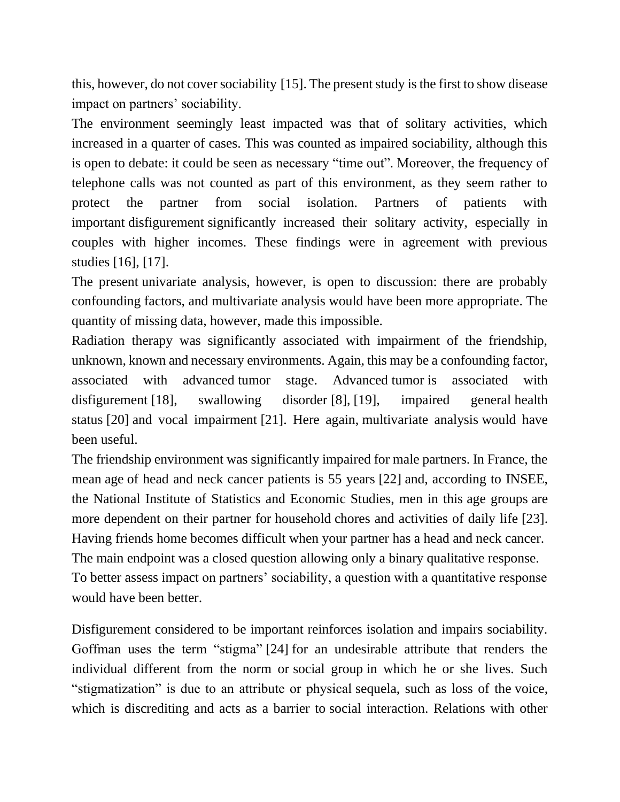this, however, do not cover sociability [15]. The present study is the first to show disease impact on partners' sociability.

The environment seemingly least impacted was that of solitary activities, which increased in a quarter of cases. This was counted as impaired sociability, although this is open to debate: it could be seen as necessary "time out". Moreover, the frequency of telephone calls was not counted as part of this environment, as they seem rather to protect the partner from social isolation. Partners of patients with important disfigurement significantly increased their solitary activity, especially in couples with higher incomes. These findings were in agreement with previous studies [16], [17].

The present univariate analysis, however, is open to discussion: there are probably confounding factors, and multivariate analysis would have been more appropriate. The quantity of missing data, however, made this impossible.

Radiation therapy was significantly associated with impairment of the friendship, unknown, known and necessary environments. Again, this may be a confounding factor, associated with advanced tumor stage. Advanced tumor is associated with disfigurement [18], swallowing disorder [8], [19], impaired general health status [20] and vocal impairment [21]. Here again, multivariate analysis would have been useful.

The friendship environment was significantly impaired for male partners. In France, the mean age of head and neck cancer patients is 55 years [22] and, according to INSEE, the National Institute of Statistics and Economic Studies, men in this age groups are more dependent on their partner for household chores and activities of daily life [23]. Having friends home becomes difficult when your partner has a head and neck cancer. The main endpoint was a closed question allowing only a binary qualitative response. To better assess impact on partners' sociability, a question with a quantitative response would have been better.

Disfigurement considered to be important reinforces isolation and impairs sociability. Goffman uses the term "stigma" [24] for an undesirable attribute that renders the individual different from the norm or social group in which he or she lives. Such "stigmatization" is due to an attribute or physical sequela, such as loss of the voice, which is discrediting and acts as a barrier to social interaction. Relations with other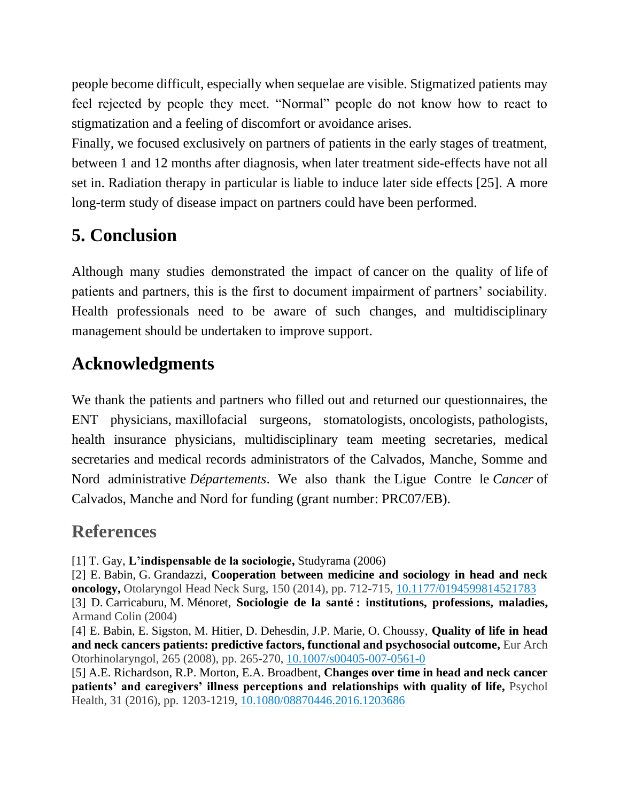people become difficult, especially when sequelae are visible. Stigmatized patients may feel rejected by people they meet. "Normal" people do not know how to react to stigmatization and a feeling of discomfort or avoidance arises.

Finally, we focused exclusively on partners of patients in the early stages of treatment, between 1 and 12 months after diagnosis, when later treatment side-effects have not all set in. Radiation therapy in particular is liable to induce later side effects [25]. A more long-term study of disease impact on partners could have been performed.

# **5. Conclusion**

Although many studies demonstrated the impact of cancer on the quality of life of patients and partners, this is the first to document impairment of partners' sociability. Health professionals need to be aware of such changes, and multidisciplinary management should be undertaken to improve support.

# **Acknowledgments**

We thank the patients and partners who filled out and returned our questionnaires, the ENT physicians, maxillofacial surgeons, stomatologists, oncologists, pathologists, health insurance physicians, multidisciplinary team meeting secretaries, medical secretaries and medical records administrators of the Calvados, Manche, Somme and Nord administrative *Départements*. We also thank the Ligue Contre le *Cancer* of Calvados, Manche and Nord for funding (grant number: PRC07/EB).

# **References**

[1] T. Gay, **L'indispensable de la sociologie,** Studyrama (2006)

[2] E. Babin, G. Grandazzi, **Cooperation between medicine and sociology in head and neck oncology,** Otolaryngol Head Neck Surg, 150 (2014), pp. 712-715, [10.1177/0194599814521783](https://doi.org/10.1177/0194599814521783) [3] D. Carricaburu, M. Ménoret, **Sociologie de la santé : institutions, professions, maladies,** Armand Colin (2004)

[4] E. Babin, E. Sigston, M. Hitier, D. Dehesdin, J.P. Marie, O. Choussy, **Quality of life in head and neck cancers patients: predictive factors, functional and psychosocial outcome,** Eur Arch Otorhinolaryngol, 265 (2008), pp. 265-270, [10.1007/s00405-007-0561-0](https://doi.org/10.1007/s00405-007-0561-0)

[5] A.E. Richardson, R.P. Morton, E.A. Broadbent, **Changes over time in head and neck cancer patients' and caregivers' illness perceptions and relationships with quality of life,** Psychol Health, 31 (2016), pp. 1203-1219, [10.1080/08870446.2016.1203686](https://doi.org/10.1080/08870446.2016.1203686)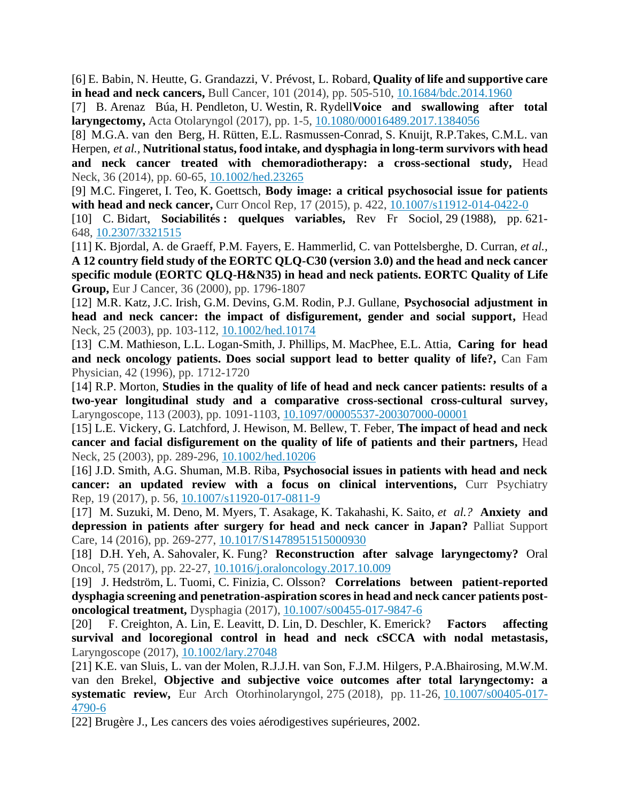[6] E. Babin, N. Heutte, G. Grandazzi, V. Prévost, L. Robard, **Quality of life and supportive care in head and neck cancers,** Bull Cancer, 101 (2014), pp. 505-510, [10.1684/bdc.2014.1960](https://doi.org/10.1684/bdc.2014.1960)

[7] B. Arenaz Búa, H. Pendleton, U. Westin, R. Rydell**Voice and swallowing after total laryngectomy,** Acta Otolaryngol (2017), pp. 1-5, [10.1080/00016489.2017.1384056](https://doi.org/10.1080/00016489.2017.1384056)

[8] M.G.A. van den Berg, H. Rütten, E.L. Rasmussen-Conrad, S. Knuijt, R.P.Takes, C.M.L. van Herpen, *et al.,* **Nutritional status, food intake, and dysphagia in long-term survivors with head and neck cancer treated with chemoradiotherapy: a cross-sectional study,** Head Neck, 36 (2014), pp. 60-65, [10.1002/hed.23265](https://doi.org/10.1002/hed.23265)

[9] M.C. Fingeret, I. Teo, K. Goettsch, **Body image: a critical psychosocial issue for patients with head and neck cancer,** Curr Oncol Rep, 17 (2015), p. 422, [10.1007/s11912-014-0422-0](https://doi.org/10.1007/s11912-014-0422-0)

[10] C. Bidart, **Sociabilités : quelques variables,** Rev Fr Sociol, 29 (1988), pp. 621- 648, [10.2307/3321515](https://doi.org/10.2307/3321515)

[11] K. Bjordal, A. de Graeff, P.M. Fayers, E. Hammerlid, C. van Pottelsberghe, D. Curran, *et al.,* **A 12 country field study of the EORTC QLQ-C30 (version 3.0) and the head and neck cancer specific module (EORTC QLQ-H&N35) in head and neck patients. EORTC Quality of Life Group,** Eur J Cancer, 36 (2000), pp. 1796-1807

[12] M.R. Katz, J.C. Irish, G.M. Devins, G.M. Rodin, P.J. Gullane, **Psychosocial adjustment in head and neck cancer: the impact of disfigurement, gender and social support,** Head Neck, 25 (2003), pp. 103-112, [10.1002/hed.10174](https://doi.org/10.1002/hed.10174)

[13] C.M. Mathieson, L.L. Logan-Smith, J. Phillips, M. MacPhee, E.L. Attia, **Caring for head and neck oncology patients. Does social support lead to better quality of life?,** Can Fam Physician, 42 (1996), pp. 1712-1720

[14] R.P. Morton, **Studies in the quality of life of head and neck cancer patients: results of a two-year longitudinal study and a comparative cross-sectional cross-cultural survey,**  Laryngoscope, 113 (2003), pp. 1091-1103, [10.1097/00005537-200307000-00001](https://doi.org/10.1097/00005537-200307000-00001)

[15] L.E. Vickery, G. Latchford, J. Hewison, M. Bellew, T. Feber, **The impact of head and neck cancer and facial disfigurement on the quality of life of patients and their partners,** Head Neck, 25 (2003), pp. 289-296, [10.1002/hed.10206](https://doi.org/10.1002/hed.10206)

[16] J.D. Smith, A.G. Shuman, M.B. Riba, **Psychosocial issues in patients with head and neck cancer: an updated review with a focus on clinical interventions, Curr Psychiatry** Rep, 19 (2017), p. 56, [10.1007/s11920-017-0811-9](https://doi.org/10.1007/s11920-017-0811-9)

[17] M. Suzuki, M. Deno, M. Myers, T. Asakage, K. Takahashi, K. Saito, *et al.?* **Anxiety and depression in patients after surgery for head and neck cancer in Japan?** Palliat Support Care, 14 (2016), pp. 269-277, [10.1017/S1478951515000930](https://doi.org/10.1017/S1478951515000930)

[18] D.H. Yeh, A. Sahovaler, K. Fung? **Reconstruction after salvage laryngectomy?** Oral Oncol, 75 (2017), pp. 22-27, [10.1016/j.oraloncology.2017.10.009](https://doi.org/10.1016/j.oraloncology.2017.10.009)

[19] J. Hedström, L. Tuomi, C. Finizia, C. Olsson? **Correlations between patient-reported dysphagia screening and penetration-aspiration scores in head and neck cancer patients postoncological treatment,** Dysphagia (2017), [10.1007/s00455-017-9847-6](https://doi.org/10.1007/s00455-017-9847-6)

[20] F. Creighton, A. Lin, E. Leavitt, D. Lin, D. Deschler, K. Emerick? **Factors affecting survival and locoregional control in head and neck cSCCA with nodal metastasis,**  Laryngoscope (2017), [10.1002/lary.27048](https://doi.org/10.1002/lary.27048)

[21] K.E. van Sluis, L. van der Molen, R.J.J.H. van Son, F.J.M. Hilgers, P.A.Bhairosing, M.W.M. van den Brekel, **Objective and subjective voice outcomes after total laryngectomy: a systematic review,** Eur Arch Otorhinolaryngol, 275 (2018), pp. 11-26, [10.1007/s00405-017-](https://doi.org/10.1007/s00405-017-4790-6) [4790-6](https://doi.org/10.1007/s00405-017-4790-6)

[22] Brugère J., Les cancers des voies aérodigestives supérieures, 2002.